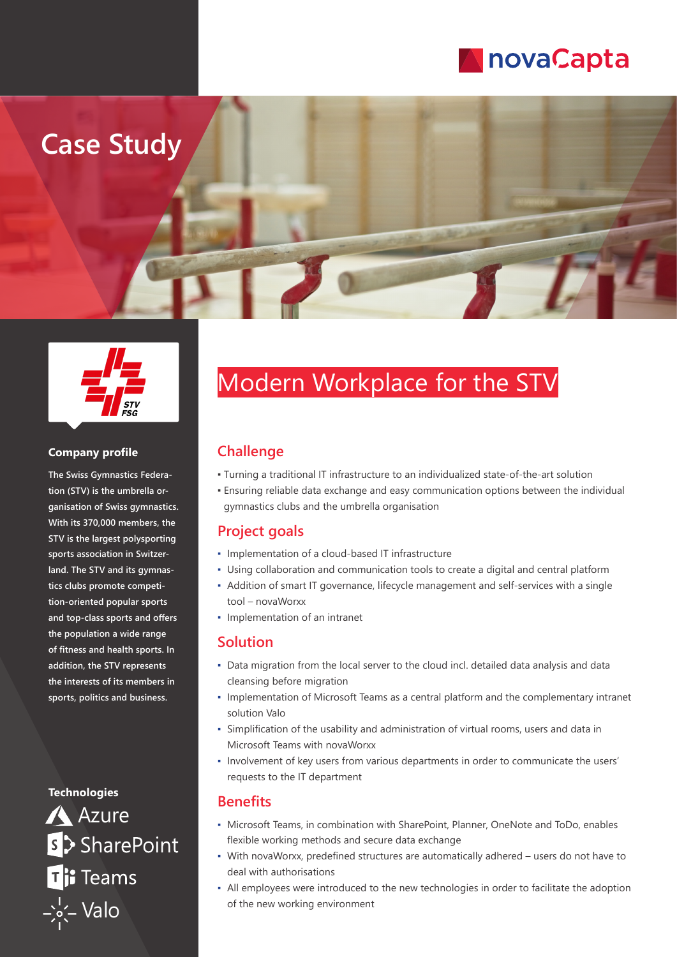

# **Case Study**



#### **Company profile Challenge**

**The Swiss Gymnastics Federation (STV) is the umbrella organisation of Swiss gymnastics. With its 370,000 members, the STV is the largest polysporting sports association in Switzerland. The STV and its gymnastics clubs promote competition-oriented popular sports and top-class sports and offers the population a wide range of fitness and health sports. In addition, the STV represents the interests of its members in sports, politics and business.**

**Technologies Azure** s>SharePoint Ti Teams -`∘́< Valo

## Modern Workplace for the STV

- Turning a traditional IT infrastructure to an individualized state-of-the-art solution
- **Ensuring reliable data exchange and easy communication options between the individual** gymnastics clubs and the umbrella organisation

#### **Project goals**

- Implementation of a cloud-based IT infrastructure
- Using collaboration and communication tools to create a digital and central platform
- Addition of smart IT governance, lifecycle management and self-services with a single tool – novaWorxx
- Implementation of an intranet

#### **Solution**

- Data migration from the local server to the cloud incl. detailed data analysis and data cleansing before migration
- Implementation of Microsoft Teams as a central platform and the complementary intranet solution Valo
- Simplification of the usability and administration of virtual rooms, users and data in Microsoft Teams with novaWorxx
- Involvement of key users from various departments in order to communicate the users' requests to the IT department

#### **Benefits**

- Microsoft Teams, in combination with SharePoint, Planner, OneNote and ToDo, enables flexible working methods and secure data exchange
- With novaWorxx, predefined structures are automatically adhered users do not have to deal with authorisations
- All employees were introduced to the new technologies in order to facilitate the adoption of the new working environment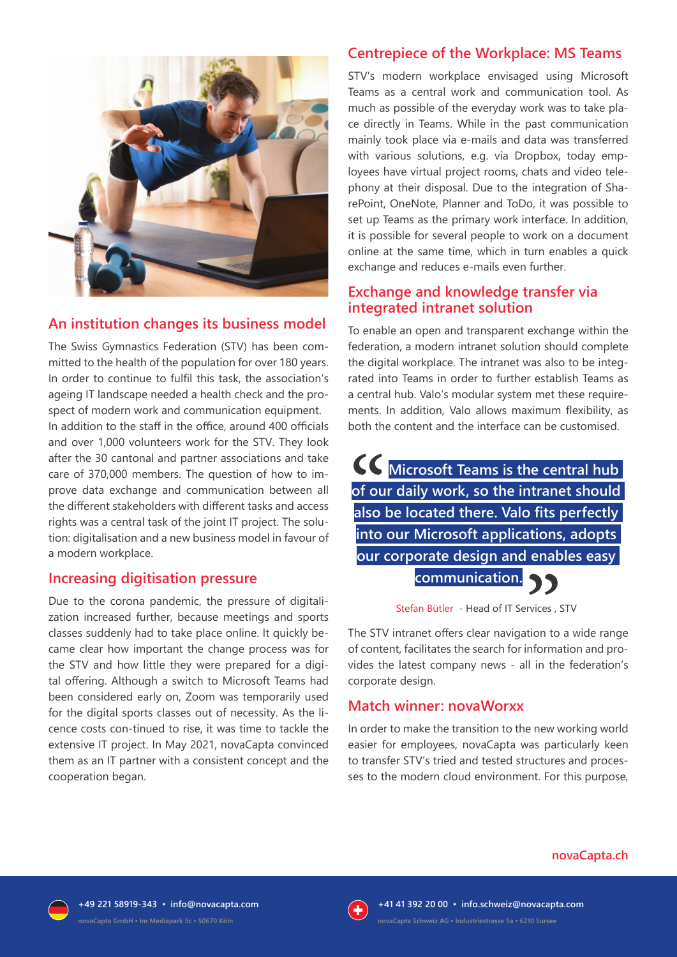

#### **An institution changes its business model**

The Swiss Gymnastics Federation (STV) has been committed to the health of the population for over 180 years. In order to continue to fulfil this task, the association's ageing IT landscape needed a health check and the prospect of modern work and communication equipment. In addition to the staff in the office, around 400 officials and over 1,000 volunteers work for the STV. They look after the 30 cantonal and partner associations and take care of 370,000 members. The question of how to improve data exchange and communication between all the different stakeholders with different tasks and access rights was a central task of the joint IT project. The solution: digitalisation and a new business model in favour of a modern workplace.

#### **Increasing digitisation pressure**

Due to the corona pandemic, the pressure of digitalization increased further, because meetings and sports classes suddenly had to take place online. It quickly became clear how important the change process was for the STV and how little they were prepared for a digital offering. Although a switch to Microsoft Teams had been considered early on, Zoom was temporarily used for the digital sports classes out of necessity. As the licence costs con-tinued to rise, it was time to tackle the extensive IT project. In May 2021, novaCapta convinced them as an IT partner with a consistent concept and the cooperation began.

#### **Centrepiece of the Workplace: MS Teams**

STV's modern workplace envisaged using Microsoft Teams as a central work and communication tool. As much as possible of the everyday work was to take place directly in Teams. While in the past communication mainly took place via e-mails and data was transferred with various solutions, e.g. via Dropbox, today employees have virtual project rooms, chats and video telephony at their disposal. Due to the integration of SharePoint, OneNote, Planner and ToDo, it was possible to set up Teams as the primary work interface. In addition, it is possible for several people to work on a document online at the same time, which in turn enables a quick exchange and reduces e-mails even further.

#### **Exchange and knowledge transfer via integrated intranet solution**

To enable an open and transparent exchange within the federation, a modern intranet solution should complete the digital workplace. The intranet was also to be integrated into Teams in order to further establish Teams as a central hub. Valo's modular system met these requirements. In addition, Valo allows maximum flexibility, as both the content and the interface can be customised.



Stefan Bütler - Head of IT Services , STV

The STV intranet offers clear navigation to a wide range of content, facilitates the search for information and provides the latest company news - all in the federation's corporate design.

#### **Match winner: novaWorxx**

In order to make the transition to the new working world easier for employees, novaCapta was particularly keen to transfer STV's tried and tested structures and processes to the modern cloud environment. For this purpose,

#### **novaCapta.ch**